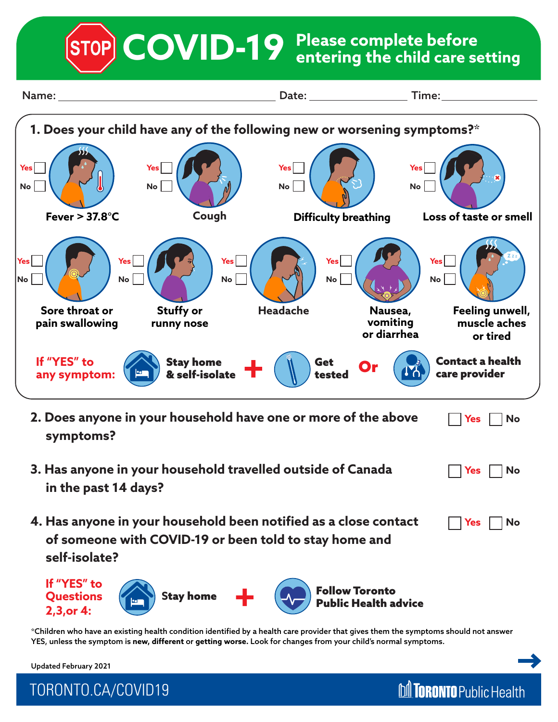**Please complete before COVID-19 entering the child care setting**



\*Children who have an existing health condition identified by a health care provider that gives them the symptoms should not answer YES, unless the symptom is **new, different** or **getting worse.** Look for changes from your child's normal symptoms.

**M** TORONTO Public Health

Updated February 2021

TORONTO.CA/COVID19